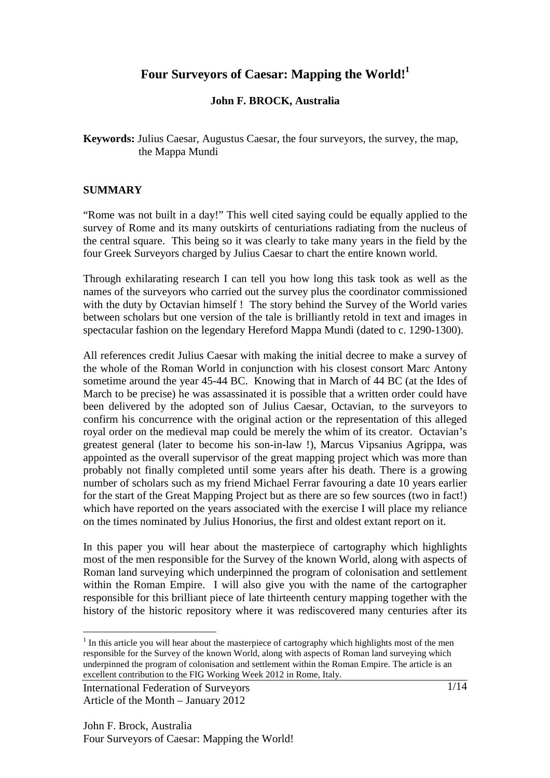# **Four Surveyors of Caesar: Mapping the World!<sup>1</sup>**

### **John F. BROCK, Australia**

**Keywords:** Julius Caesar, Augustus Caesar, the four surveyors, the survey, the map, the Mappa Mundi

#### **SUMMARY**

"Rome was not built in a day!" This well cited saying could be equally applied to the survey of Rome and its many outskirts of centuriations radiating from the nucleus of the central square. This being so it was clearly to take many years in the field by the four Greek Surveyors charged by Julius Caesar to chart the entire known world.

Through exhilarating research I can tell you how long this task took as well as the names of the surveyors who carried out the survey plus the coordinator commissioned with the duty by Octavian himself ! The story behind the Survey of the World varies between scholars but one version of the tale is brilliantly retold in text and images in spectacular fashion on the legendary Hereford Mappa Mundi (dated to c. 1290-1300).

All references credit Julius Caesar with making the initial decree to make a survey of the whole of the Roman World in conjunction with his closest consort Marc Antony sometime around the year 45-44 BC. Knowing that in March of 44 BC (at the Ides of March to be precise) he was assassinated it is possible that a written order could have been delivered by the adopted son of Julius Caesar, Octavian, to the surveyors to confirm his concurrence with the original action or the representation of this alleged royal order on the medieval map could be merely the whim of its creator. Octavian's greatest general (later to become his son-in-law !), Marcus Vipsanius Agrippa, was appointed as the overall supervisor of the great mapping project which was more than probably not finally completed until some years after his death. There is a growing number of scholars such as my friend Michael Ferrar favouring a date 10 years earlier for the start of the Great Mapping Project but as there are so few sources (two in fact!) which have reported on the years associated with the exercise I will place my reliance on the times nominated by Julius Honorius, the first and oldest extant report on it.

In this paper you will hear about the masterpiece of cartography which highlights most of the men responsible for the Survey of the known World, along with aspects of Roman land surveying which underpinned the program of colonisation and settlement within the Roman Empire. I will also give you with the name of the cartographer responsible for this brilliant piece of late thirteenth century mapping together with the history of the historic repository where it was rediscovered many centuries after its

 $\overline{a}$ 

 $1$  In this article you will hear about the masterpiece of cartography which highlights most of the men responsible for the Survey of the known World, along with aspects of Roman land surveying which underpinned the program of colonisation and settlement within the Roman Empire. The article is an excellent contribution to the FIG Working Week 2012 in Rome, Italy.

International Federation of Surveyors Article of the Month – January 2012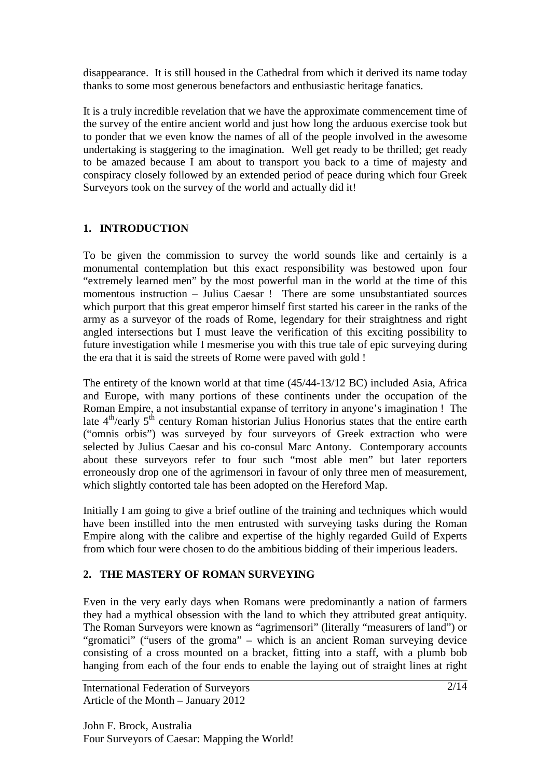disappearance. It is still housed in the Cathedral from which it derived its name today thanks to some most generous benefactors and enthusiastic heritage fanatics.

It is a truly incredible revelation that we have the approximate commencement time of the survey of the entire ancient world and just how long the arduous exercise took but to ponder that we even know the names of all of the people involved in the awesome undertaking is staggering to the imagination. Well get ready to be thrilled; get ready to be amazed because I am about to transport you back to a time of majesty and conspiracy closely followed by an extended period of peace during which four Greek Surveyors took on the survey of the world and actually did it!

## **1. INTRODUCTION**

To be given the commission to survey the world sounds like and certainly is a monumental contemplation but this exact responsibility was bestowed upon four "extremely learned men" by the most powerful man in the world at the time of this momentous instruction – Julius Caesar ! There are some unsubstantiated sources which purport that this great emperor himself first started his career in the ranks of the army as a surveyor of the roads of Rome, legendary for their straightness and right angled intersections but I must leave the verification of this exciting possibility to future investigation while I mesmerise you with this true tale of epic surveying during the era that it is said the streets of Rome were paved with gold !

The entirety of the known world at that time (45/44-13/12 BC) included Asia, Africa and Europe, with many portions of these continents under the occupation of the Roman Empire, a not insubstantial expanse of territory in anyone's imagination ! The late 4<sup>th</sup>/early 5<sup>th</sup> century Roman historian Julius Honorius states that the entire earth ("omnis orbis") was surveyed by four surveyors of Greek extraction who were selected by Julius Caesar and his co-consul Marc Antony. Contemporary accounts about these surveyors refer to four such "most able men" but later reporters erroneously drop one of the agrimensori in favour of only three men of measurement, which slightly contorted tale has been adopted on the Hereford Map.

Initially I am going to give a brief outline of the training and techniques which would have been instilled into the men entrusted with surveying tasks during the Roman Empire along with the calibre and expertise of the highly regarded Guild of Experts from which four were chosen to do the ambitious bidding of their imperious leaders.

### **2. THE MASTERY OF ROMAN SURVEYING**

Even in the very early days when Romans were predominantly a nation of farmers they had a mythical obsession with the land to which they attributed great antiquity. The Roman Surveyors were known as "agrimensori" (literally "measurers of land") or "gromatici" ("users of the groma" – which is an ancient Roman surveying device consisting of a cross mounted on a bracket, fitting into a staff, with a plumb bob hanging from each of the four ends to enable the laying out of straight lines at right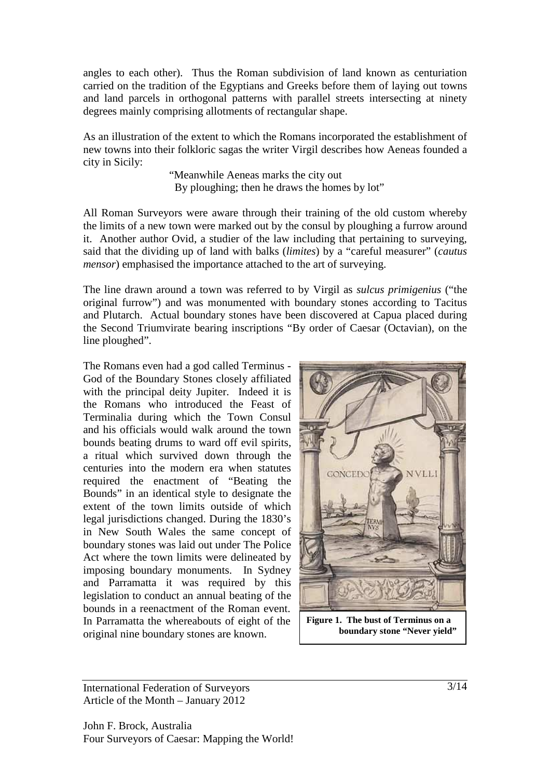angles to each other). Thus the Roman subdivision of land known as centuriation carried on the tradition of the Egyptians and Greeks before them of laying out towns and land parcels in orthogonal patterns with parallel streets intersecting at ninety degrees mainly comprising allotments of rectangular shape.

As an illustration of the extent to which the Romans incorporated the establishment of new towns into their folkloric sagas the writer Virgil describes how Aeneas founded a city in Sicily:

> "Meanwhile Aeneas marks the city out By ploughing; then he draws the homes by lot"

All Roman Surveyors were aware through their training of the old custom whereby the limits of a new town were marked out by the consul by ploughing a furrow around it. Another author Ovid, a studier of the law including that pertaining to surveying, said that the dividing up of land with balks (*limites*) by a "careful measurer" (*cautus mensor*) emphasised the importance attached to the art of surveying.

The line drawn around a town was referred to by Virgil as *sulcus primigenius* ("the original furrow") and was monumented with boundary stones according to Tacitus and Plutarch. Actual boundary stones have been discovered at Capua placed during the Second Triumvirate bearing inscriptions "By order of Caesar (Octavian), on the line ploughed".

The Romans even had a god called Terminus - God of the Boundary Stones closely affiliated with the principal deity Jupiter. Indeed it is the Romans who introduced the Feast of Terminalia during which the Town Consul and his officials would walk around the town bounds beating drums to ward off evil spirits, a ritual which survived down through the centuries into the modern era when statutes required the enactment of "Beating the Bounds" in an identical style to designate the extent of the town limits outside of which legal jurisdictions changed. During the 1830's in New South Wales the same concept of boundary stones was laid out under The Police Act where the town limits were delineated by imposing boundary monuments. In Sydney and Parramatta it was required by this legislation to conduct an annual beating of the bounds in a reenactment of the Roman event. In Parramatta the whereabouts of eight of the original nine boundary stones are known.



**Figure 1. The bust of Terminus on a boundary stone "Never yield"**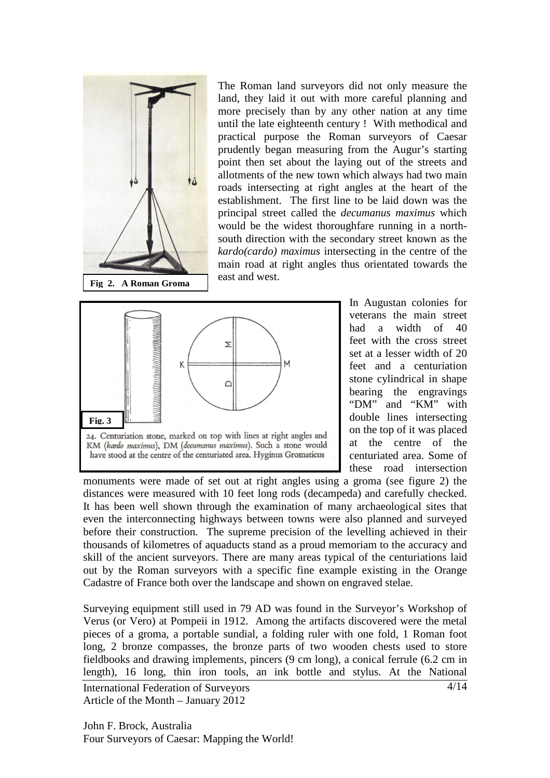

The Roman land surveyors did not only measure the land, they laid it out with more careful planning and more precisely than by any other nation at any time until the late eighteenth century ! With methodical and practical purpose the Roman surveyors of Caesar prudently began measuring from the Augur's starting point then set about the laying out of the streets and allotments of the new town which always had two main roads intersecting at right angles at the heart of the establishment. The first line to be laid down was the principal street called the *decumanus maximus* which would be the widest thoroughfare running in a northsouth direction with the secondary street known as the *kardo(cardo) maximus* intersecting in the centre of the main road at right angles thus orientated towards the east and west.



In Augustan colonies for veterans the main street had a width of 40 feet with the cross street set at a lesser width of 20 feet and a centuriation stone cylindrical in shape bearing the engravings "DM" and "KM" with double lines intersecting on the top of it was placed at the centre of the centuriated area. Some of these road intersection

monuments were made of set out at right angles using a groma (see figure 2) the distances were measured with 10 feet long rods (decampeda) and carefully checked. It has been well shown through the examination of many archaeological sites that even the interconnecting highways between towns were also planned and surveyed before their construction. The supreme precision of the levelling achieved in their thousands of kilometres of aquaducts stand as a proud memoriam to the accuracy and skill of the ancient surveyors. There are many areas typical of the centuriations laid out by the Roman surveyors with a specific fine example existing in the Orange Cadastre of France both over the landscape and shown on engraved stelae.

Surveying equipment still used in 79 AD was found in the Surveyor's Workshop of Verus (or Vero) at Pompeii in 1912. Among the artifacts discovered were the metal pieces of a groma, a portable sundial, a folding ruler with one fold, 1 Roman foot long, 2 bronze compasses, the bronze parts of two wooden chests used to store fieldbooks and drawing implements, pincers (9 cm long), a conical ferrule (6.2 cm in length), 16 long, thin iron tools, an ink bottle and stylus. At the National

International Federation of Surveyors Article of the Month – January 2012

John F. Brock, Australia Four Surveyors of Caesar: Mapping the World! 4/14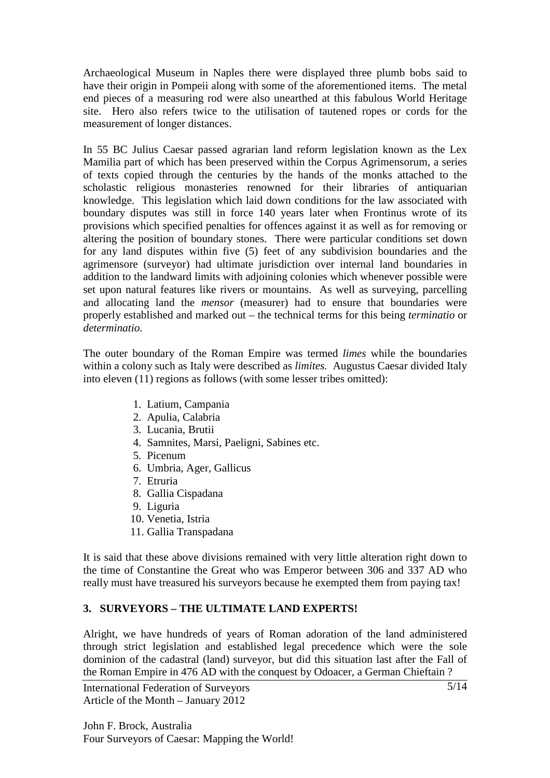Archaeological Museum in Naples there were displayed three plumb bobs said to have their origin in Pompeii along with some of the aforementioned items. The metal end pieces of a measuring rod were also unearthed at this fabulous World Heritage site. Hero also refers twice to the utilisation of tautened ropes or cords for the measurement of longer distances.

In 55 BC Julius Caesar passed agrarian land reform legislation known as the Lex Mamilia part of which has been preserved within the Corpus Agrimensorum, a series of texts copied through the centuries by the hands of the monks attached to the scholastic religious monasteries renowned for their libraries of antiquarian knowledge. This legislation which laid down conditions for the law associated with boundary disputes was still in force 140 years later when Frontinus wrote of its provisions which specified penalties for offences against it as well as for removing or altering the position of boundary stones. There were particular conditions set down for any land disputes within five (5) feet of any subdivision boundaries and the agrimensore (surveyor) had ultimate jurisdiction over internal land boundaries in addition to the landward limits with adjoining colonies which whenever possible were set upon natural features like rivers or mountains. As well as surveying, parcelling and allocating land the *mensor* (measurer) had to ensure that boundaries were properly established and marked out – the technical terms for this being *terminatio* or *determinatio.* 

The outer boundary of the Roman Empire was termed *limes* while the boundaries within a colony such as Italy were described as *limites.* Augustus Caesar divided Italy into eleven (11) regions as follows (with some lesser tribes omitted):

- 1. Latium, Campania
- 2. Apulia, Calabria
- 3. Lucania, Brutii
- 4. Samnites, Marsi, Paeligni, Sabines etc.
- 5. Picenum
- 6. Umbria, Ager, Gallicus
- 7. Etruria
- 8. Gallia Cispadana
- 9. Liguria
- 10. Venetia, Istria
- 11. Gallia Transpadana

It is said that these above divisions remained with very little alteration right down to the time of Constantine the Great who was Emperor between 306 and 337 AD who really must have treasured his surveyors because he exempted them from paying tax!

# **3. SURVEYORS – THE ULTIMATE LAND EXPERTS!**

Alright, we have hundreds of years of Roman adoration of the land administered through strict legislation and established legal precedence which were the sole dominion of the cadastral (land) surveyor, but did this situation last after the Fall of the Roman Empire in 476 AD with the conquest by Odoacer, a German Chieftain ?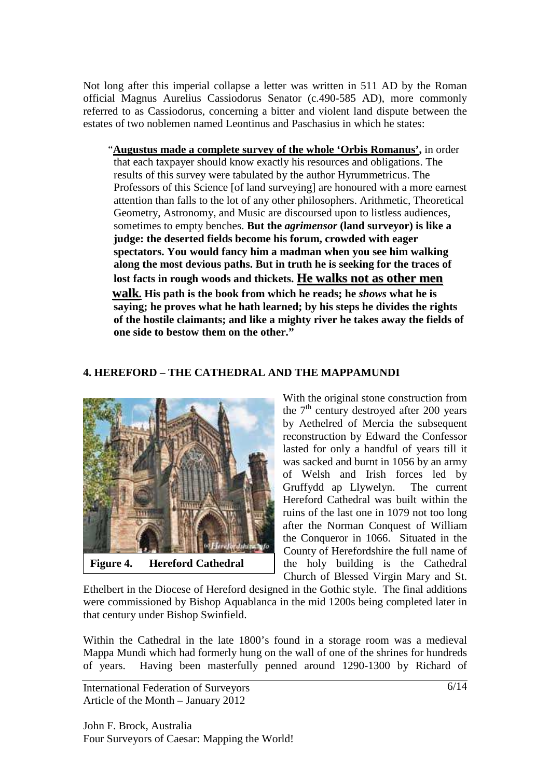Not long after this imperial collapse a letter was written in 511 AD by the Roman official Magnus Aurelius Cassiodorus Senator (c.490-585 AD), more commonly referred to as Cassiodorus, concerning a bitter and violent land dispute between the estates of two noblemen named Leontinus and Paschasius in which he states:

 "**Augustus made a complete survey of the whole 'Orbis Romanus',** in order that each taxpayer should know exactly his resources and obligations. The results of this survey were tabulated by the author Hyrummetricus. The Professors of this Science [of land surveying] are honoured with a more earnest attention than falls to the lot of any other philosophers. Arithmetic, Theoretical Geometry, Astronomy, and Music are discoursed upon to listless audiences, sometimes to empty benches. **But the** *agrimensor* **(land surveyor) is like a judge: the deserted fields become his forum, crowded with eager spectators. You would fancy him a madman when you see him walking along the most devious paths. But in truth he is seeking for the traces of lost facts in rough woods and thickets. He walks not as other men walk. His path is the book from which he reads; he** *shows* **what he is saying; he proves what he hath learned; by his steps he divides the rights of the hostile claimants; and like a mighty river he takes away the fields of one side to bestow them on the other."**

#### **4. HEREFORD – THE CATHEDRAL AND THE MAPPAMUNDI**



**Figure 4. Hereford Cathedral** 

With the original stone construction from the  $7<sup>th</sup>$  century destroyed after 200 years by Aethelred of Mercia the subsequent reconstruction by Edward the Confessor lasted for only a handful of years till it was sacked and burnt in 1056 by an army of Welsh and Irish forces led by Gruffydd ap Llywelyn. The current Hereford Cathedral was built within the ruins of the last one in 1079 not too long after the Norman Conquest of William the Conqueror in 1066. Situated in the County of Herefordshire the full name of the holy building is the Cathedral Church of Blessed Virgin Mary and St.

Ethelbert in the Diocese of Hereford designed in the Gothic style. The final additions were commissioned by Bishop Aquablanca in the mid 1200s being completed later in that century under Bishop Swinfield.

Within the Cathedral in the late 1800's found in a storage room was a medieval Mappa Mundi which had formerly hung on the wall of one of the shrines for hundreds of years. Having been masterfully penned around 1290-1300 by Richard of

International Federation of Surveyors Article of the Month – January 2012

John F. Brock, Australia Four Surveyors of Caesar: Mapping the World!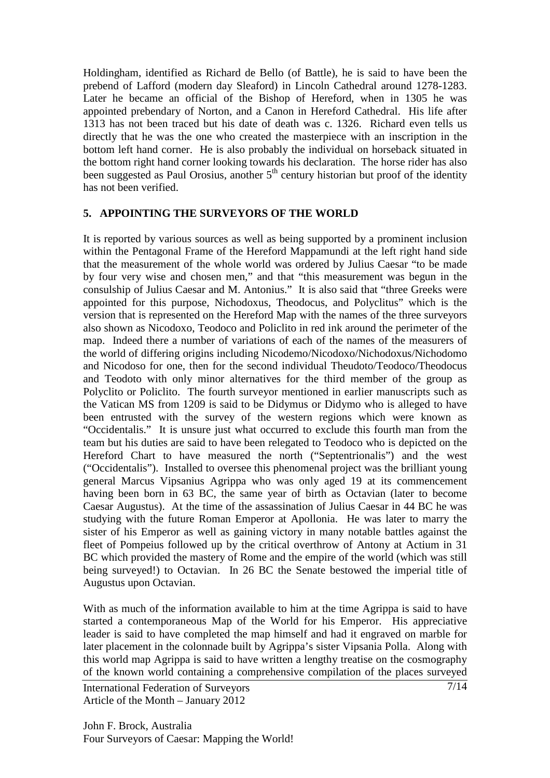Holdingham, identified as Richard de Bello (of Battle), he is said to have been the prebend of Lafford (modern day Sleaford) in Lincoln Cathedral around 1278-1283. Later he became an official of the Bishop of Hereford, when in 1305 he was appointed prebendary of Norton, and a Canon in Hereford Cathedral. His life after 1313 has not been traced but his date of death was c. 1326. Richard even tells us directly that he was the one who created the masterpiece with an inscription in the bottom left hand corner. He is also probably the individual on horseback situated in the bottom right hand corner looking towards his declaration. The horse rider has also been suggested as Paul Orosius, another  $5<sup>th</sup>$  century historian but proof of the identity has not been verified.

#### **5. APPOINTING THE SURVEYORS OF THE WORLD**

It is reported by various sources as well as being supported by a prominent inclusion within the Pentagonal Frame of the Hereford Mappamundi at the left right hand side that the measurement of the whole world was ordered by Julius Caesar "to be made by four very wise and chosen men," and that "this measurement was begun in the consulship of Julius Caesar and M. Antonius." It is also said that "three Greeks were appointed for this purpose, Nichodoxus, Theodocus, and Polyclitus" which is the version that is represented on the Hereford Map with the names of the three surveyors also shown as Nicodoxo, Teodoco and Policlito in red ink around the perimeter of the map. Indeed there a number of variations of each of the names of the measurers of the world of differing origins including Nicodemo/Nicodoxo/Nichodoxus/Nichodomo and Nicodoso for one, then for the second individual Theudoto/Teodoco/Theodocus and Teodoto with only minor alternatives for the third member of the group as Polyclito or Policlito. The fourth surveyor mentioned in earlier manuscripts such as the Vatican MS from 1209 is said to be Didymus or Didymo who is alleged to have been entrusted with the survey of the western regions which were known as "Occidentalis." It is unsure just what occurred to exclude this fourth man from the team but his duties are said to have been relegated to Teodoco who is depicted on the Hereford Chart to have measured the north ("Septentrionalis") and the west ("Occidentalis"). Installed to oversee this phenomenal project was the brilliant young general Marcus Vipsanius Agrippa who was only aged 19 at its commencement having been born in 63 BC, the same year of birth as Octavian (later to become Caesar Augustus). At the time of the assassination of Julius Caesar in 44 BC he was studying with the future Roman Emperor at Apollonia. He was later to marry the sister of his Emperor as well as gaining victory in many notable battles against the fleet of Pompeius followed up by the critical overthrow of Antony at Actium in 31 BC which provided the mastery of Rome and the empire of the world (which was still being surveyed!) to Octavian. In 26 BC the Senate bestowed the imperial title of Augustus upon Octavian.

With as much of the information available to him at the time Agrippa is said to have started a contemporaneous Map of the World for his Emperor. His appreciative leader is said to have completed the map himself and had it engraved on marble for later placement in the colonnade built by Agrippa's sister Vipsania Polla. Along with this world map Agrippa is said to have written a lengthy treatise on the cosmography of the known world containing a comprehensive compilation of the places surveyed

International Federation of Surveyors Article of the Month – January 2012

John F. Brock, Australia Four Surveyors of Caesar: Mapping the World!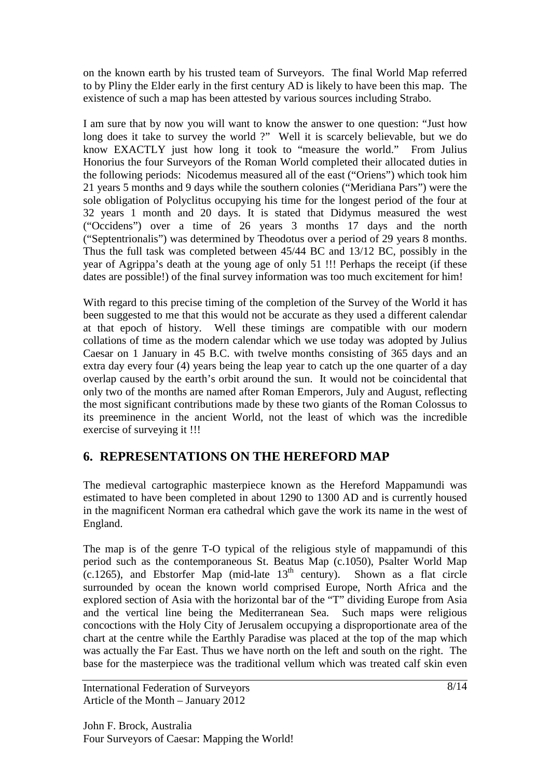on the known earth by his trusted team of Surveyors. The final World Map referred to by Pliny the Elder early in the first century AD is likely to have been this map. The existence of such a map has been attested by various sources including Strabo.

I am sure that by now you will want to know the answer to one question: "Just how long does it take to survey the world ?" Well it is scarcely believable, but we do know EXACTLY just how long it took to "measure the world." From Julius Honorius the four Surveyors of the Roman World completed their allocated duties in the following periods: Nicodemus measured all of the east ("Oriens") which took him 21 years 5 months and 9 days while the southern colonies ("Meridiana Pars") were the sole obligation of Polyclitus occupying his time for the longest period of the four at 32 years 1 month and 20 days. It is stated that Didymus measured the west ("Occidens") over a time of 26 years 3 months 17 days and the north ("Septentrionalis") was determined by Theodotus over a period of 29 years 8 months. Thus the full task was completed between 45/44 BC and 13/12 BC, possibly in the year of Agrippa's death at the young age of only 51 !!! Perhaps the receipt (if these dates are possible!) of the final survey information was too much excitement for him!

With regard to this precise timing of the completion of the Survey of the World it has been suggested to me that this would not be accurate as they used a different calendar at that epoch of history. Well these timings are compatible with our modern collations of time as the modern calendar which we use today was adopted by Julius Caesar on 1 January in 45 B.C. with twelve months consisting of 365 days and an extra day every four (4) years being the leap year to catch up the one quarter of a day overlap caused by the earth's orbit around the sun. It would not be coincidental that only two of the months are named after Roman Emperors, July and August, reflecting the most significant contributions made by these two giants of the Roman Colossus to its preeminence in the ancient World, not the least of which was the incredible exercise of surveying it !!!

# **6. REPRESENTATIONS ON THE HEREFORD MAP**

The medieval cartographic masterpiece known as the Hereford Mappamundi was estimated to have been completed in about 1290 to 1300 AD and is currently housed in the magnificent Norman era cathedral which gave the work its name in the west of England.

The map is of the genre T-O typical of the religious style of mappamundi of this period such as the contemporaneous St. Beatus Map (c.1050), Psalter World Map  $(c.1265)$ , and Ebstorfer Map (mid-late  $13<sup>th</sup>$  century). Shown as a flat circle surrounded by ocean the known world comprised Europe, North Africa and the explored section of Asia with the horizontal bar of the "T" dividing Europe from Asia and the vertical line being the Mediterranean Sea. Such maps were religious concoctions with the Holy City of Jerusalem occupying a disproportionate area of the chart at the centre while the Earthly Paradise was placed at the top of the map which was actually the Far East. Thus we have north on the left and south on the right. The base for the masterpiece was the traditional vellum which was treated calf skin even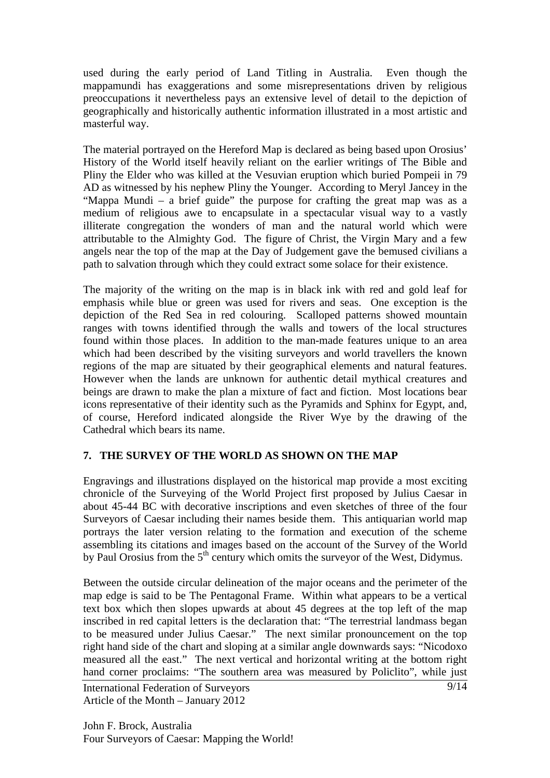used during the early period of Land Titling in Australia. Even though the mappamundi has exaggerations and some misrepresentations driven by religious preoccupations it nevertheless pays an extensive level of detail to the depiction of geographically and historically authentic information illustrated in a most artistic and masterful way.

The material portrayed on the Hereford Map is declared as being based upon Orosius' History of the World itself heavily reliant on the earlier writings of The Bible and Pliny the Elder who was killed at the Vesuvian eruption which buried Pompeii in 79 AD as witnessed by his nephew Pliny the Younger. According to Meryl Jancey in the "Mappa Mundi – a brief guide" the purpose for crafting the great map was as a medium of religious awe to encapsulate in a spectacular visual way to a vastly illiterate congregation the wonders of man and the natural world which were attributable to the Almighty God. The figure of Christ, the Virgin Mary and a few angels near the top of the map at the Day of Judgement gave the bemused civilians a path to salvation through which they could extract some solace for their existence.

The majority of the writing on the map is in black ink with red and gold leaf for emphasis while blue or green was used for rivers and seas. One exception is the depiction of the Red Sea in red colouring. Scalloped patterns showed mountain ranges with towns identified through the walls and towers of the local structures found within those places. In addition to the man-made features unique to an area which had been described by the visiting surveyors and world travellers the known regions of the map are situated by their geographical elements and natural features. However when the lands are unknown for authentic detail mythical creatures and beings are drawn to make the plan a mixture of fact and fiction. Most locations bear icons representative of their identity such as the Pyramids and Sphinx for Egypt, and, of course, Hereford indicated alongside the River Wye by the drawing of the Cathedral which bears its name.

### **7. THE SURVEY OF THE WORLD AS SHOWN ON THE MAP**

Engravings and illustrations displayed on the historical map provide a most exciting chronicle of the Surveying of the World Project first proposed by Julius Caesar in about 45-44 BC with decorative inscriptions and even sketches of three of the four Surveyors of Caesar including their names beside them. This antiquarian world map portrays the later version relating to the formation and execution of the scheme assembling its citations and images based on the account of the Survey of the World by Paul Orosius from the  $5<sup>th</sup>$  century which omits the surveyor of the West, Didymus.

Between the outside circular delineation of the major oceans and the perimeter of the map edge is said to be The Pentagonal Frame. Within what appears to be a vertical text box which then slopes upwards at about 45 degrees at the top left of the map inscribed in red capital letters is the declaration that: "The terrestrial landmass began to be measured under Julius Caesar." The next similar pronouncement on the top right hand side of the chart and sloping at a similar angle downwards says: "Nicodoxo measured all the east." The next vertical and horizontal writing at the bottom right hand corner proclaims: "The southern area was measured by Policlito", while just

International Federation of Surveyors Article of the Month – January 2012

John F. Brock, Australia Four Surveyors of Caesar: Mapping the World!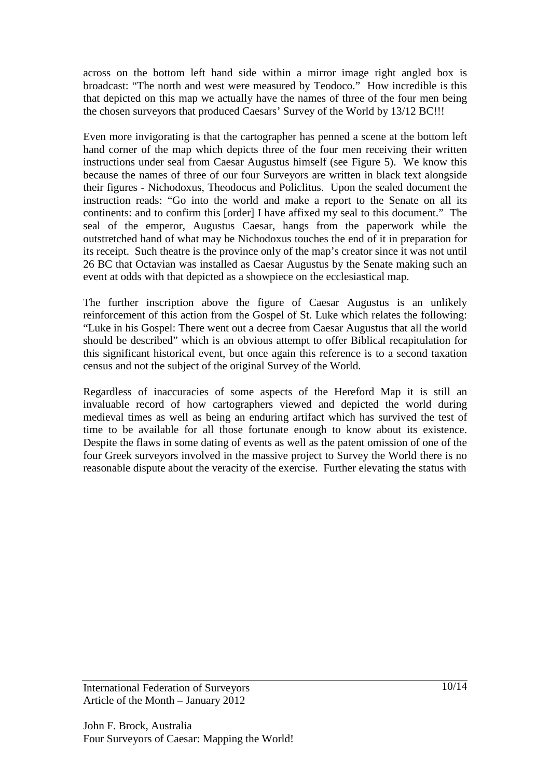across on the bottom left hand side within a mirror image right angled box is broadcast: "The north and west were measured by Teodoco." How incredible is this that depicted on this map we actually have the names of three of the four men being the chosen surveyors that produced Caesars' Survey of the World by 13/12 BC!!!

Even more invigorating is that the cartographer has penned a scene at the bottom left hand corner of the map which depicts three of the four men receiving their written instructions under seal from Caesar Augustus himself (see Figure 5). We know this because the names of three of our four Surveyors are written in black text alongside their figures - Nichodoxus, Theodocus and Policlitus. Upon the sealed document the instruction reads: "Go into the world and make a report to the Senate on all its continents: and to confirm this [order] I have affixed my seal to this document." The seal of the emperor, Augustus Caesar, hangs from the paperwork while the outstretched hand of what may be Nichodoxus touches the end of it in preparation for its receipt. Such theatre is the province only of the map's creator since it was not until 26 BC that Octavian was installed as Caesar Augustus by the Senate making such an event at odds with that depicted as a showpiece on the ecclesiastical map.

The further inscription above the figure of Caesar Augustus is an unlikely reinforcement of this action from the Gospel of St. Luke which relates the following: "Luke in his Gospel: There went out a decree from Caesar Augustus that all the world should be described" which is an obvious attempt to offer Biblical recapitulation for this significant historical event, but once again this reference is to a second taxation census and not the subject of the original Survey of the World.

Regardless of inaccuracies of some aspects of the Hereford Map it is still an invaluable record of how cartographers viewed and depicted the world during medieval times as well as being an enduring artifact which has survived the test of time to be available for all those fortunate enough to know about its existence. Despite the flaws in some dating of events as well as the patent omission of one of the four Greek surveyors involved in the massive project to Survey the World there is no reasonable dispute about the veracity of the exercise. Further elevating the status with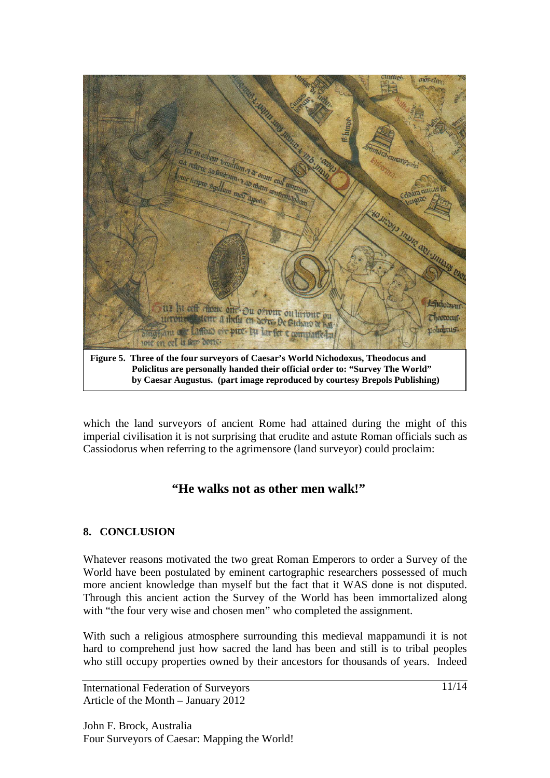

which the land surveyors of ancient Rome had attained during the might of this imperial civilisation it is not surprising that erudite and astute Roman officials such as Cassiodorus when referring to the agrimensore (land surveyor) could proclaim:

# **"He walks not as other men walk!"**

# **8. CONCLUSION**

Whatever reasons motivated the two great Roman Emperors to order a Survey of the World have been postulated by eminent cartographic researchers possessed of much more ancient knowledge than myself but the fact that it WAS done is not disputed. Through this ancient action the Survey of the World has been immortalized along with "the four very wise and chosen men" who completed the assignment.

With such a religious atmosphere surrounding this medieval mappamundi it is not hard to comprehend just how sacred the land has been and still is to tribal peoples who still occupy properties owned by their ancestors for thousands of years. Indeed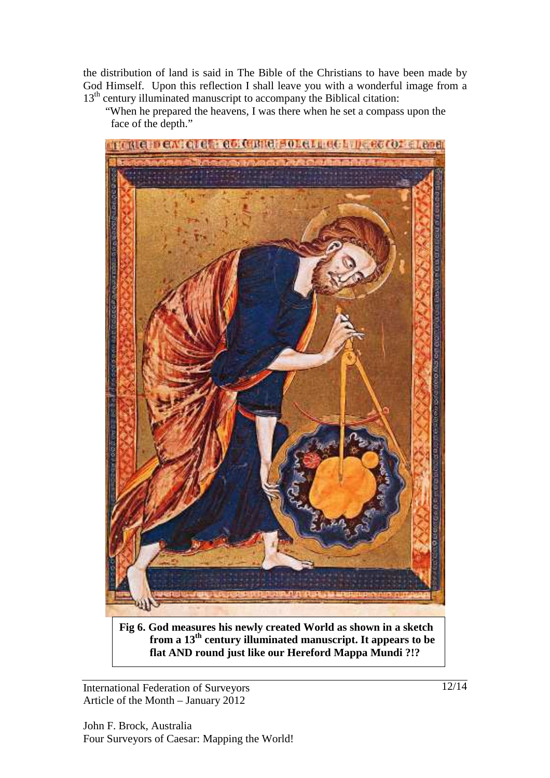the distribution of land is said in The Bible of the Christians to have been made by God Himself. Upon this reflection I shall leave you with a wonderful image from a 13<sup>th</sup> century illuminated manuscript to accompany the Biblical citation:

 "When he prepared the heavens, I was there when he set a compass upon the face of the depth."



 **from a 13th century illuminated manuscript. It appears to be flat AND round just like our Hereford Mappa Mundi ?!?**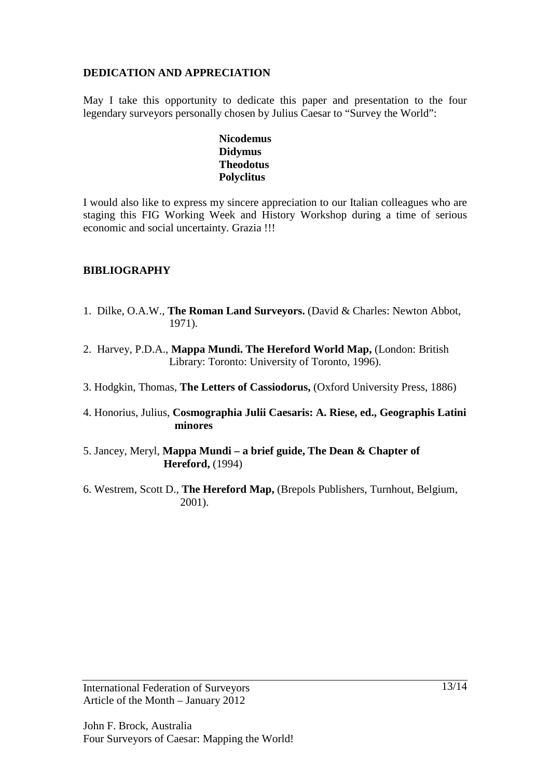## **DEDICATION AND APPRECIATION**

May I take this opportunity to dedicate this paper and presentation to the four legendary surveyors personally chosen by Julius Caesar to "Survey the World":

> **Nicodemus Didymus Theodotus Polyclitus**

I would also like to express my sincere appreciation to our Italian colleagues who are staging this FIG Working Week and History Workshop during a time of serious economic and social uncertainty. Grazia !!!

## **BIBLIOGRAPHY**

- 1. Dilke, O.A.W., **The Roman Land Surveyors.** (David & Charles: Newton Abbot, 1971).
- 2. Harvey, P.D.A., **Mappa Mundi. The Hereford World Map,** (London: British Library: Toronto: University of Toronto, 1996).
- 3. Hodgkin, Thomas, **The Letters of Cassiodorus,** (Oxford University Press, 1886)
- 4. Honorius, Julius, **Cosmographia Julii Caesaris: A. Riese, ed., Geographis Latini minores**
- 5. Jancey, Meryl, **Mappa Mundi a brief guide, The Dean & Chapter of Hereford,** (1994)
- 6. Westrem, Scott D., **The Hereford Map,** (Brepols Publishers, Turnhout, Belgium, 2001).